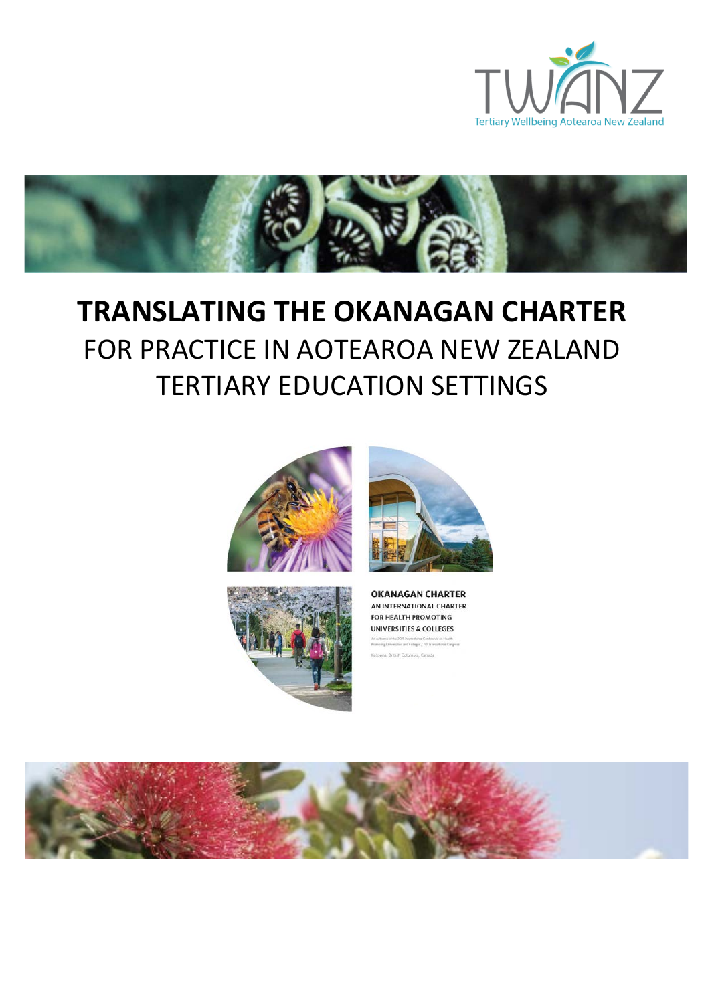



# **TRANSLATING THE OKANAGAN CHARTER** FOR PRACTICE IN AOTEAROA NEW ZEALAND TERTIARY EDUCATION SETTINGS





**OKANAGAN CHARTER** AN INTERNATIONAL CHARTER FOR HEALTH PROMOTING UNIVERSITIES & COLLEGES tozoe of the 2015 International Conference on Health<br>ting Universities and Colleges / Wilh terrestored Congress

a. British Columbia, Canada

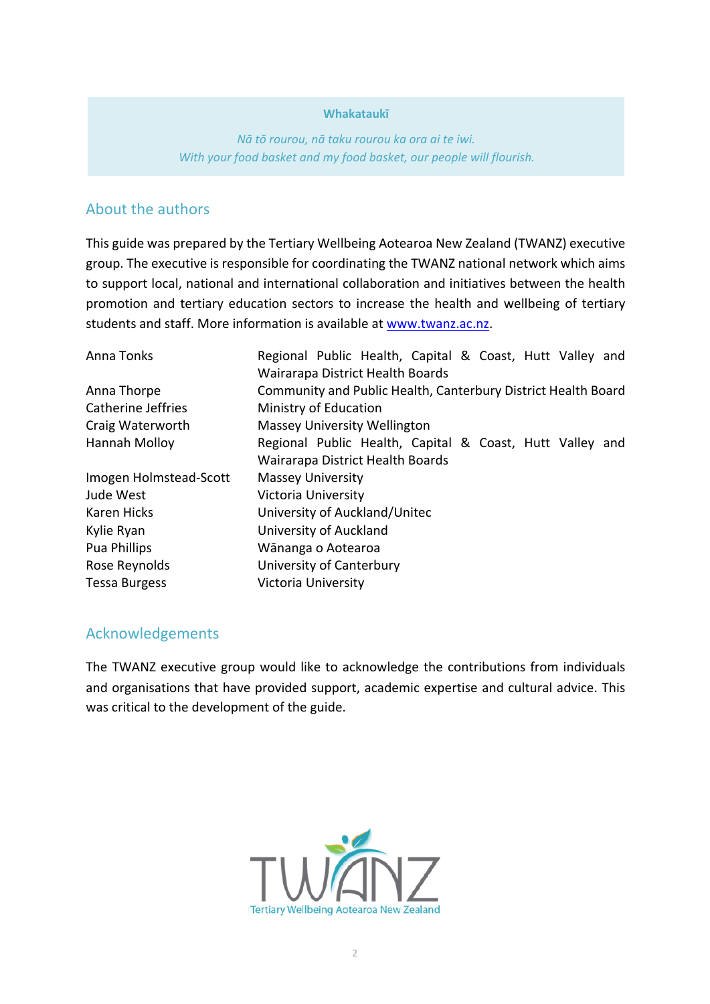#### **Whakataukī**

*Nā tō rourou, nā taku rourou ka ora ai te iwi. With your food basket and my food basket, our people will flourish.*

# About the authors

This guide was prepared by the Tertiary Wellbeing Aotearoa New Zealand (TWANZ) executive group. The executive is responsible for coordinating the TWANZ national network which aims to support local, national and international collaboration and initiatives between the health promotion and tertiary education sectors to increase the health and wellbeing of tertiary students and staff. More information is available at [www.twanz.ac.nz.](http://www.twanz.ac.nz/)

| Anna Tonks             | Regional Public Health, Capital & Coast, Hutt Valley and      |
|------------------------|---------------------------------------------------------------|
|                        | Wairarapa District Health Boards                              |
| Anna Thorpe            | Community and Public Health, Canterbury District Health Board |
| Catherine Jeffries     | Ministry of Education                                         |
| Craig Waterworth       | <b>Massey University Wellington</b>                           |
| Hannah Molloy          | Regional Public Health, Capital & Coast, Hutt Valley and      |
|                        | Wairarapa District Health Boards                              |
| Imogen Holmstead-Scott | <b>Massey University</b>                                      |
| Jude West              | Victoria University                                           |
| Karen Hicks            | University of Auckland/Unitec                                 |
| Kylie Ryan             | University of Auckland                                        |
| Pua Phillips           | Wānanga o Aotearoa                                            |
| Rose Reynolds          | University of Canterbury                                      |
| <b>Tessa Burgess</b>   | Victoria University                                           |

### Acknowledgements

The TWANZ executive group would like to acknowledge the contributions from individuals and organisations that have provided support, academic expertise and cultural advice. This was critical to the development of the guide.

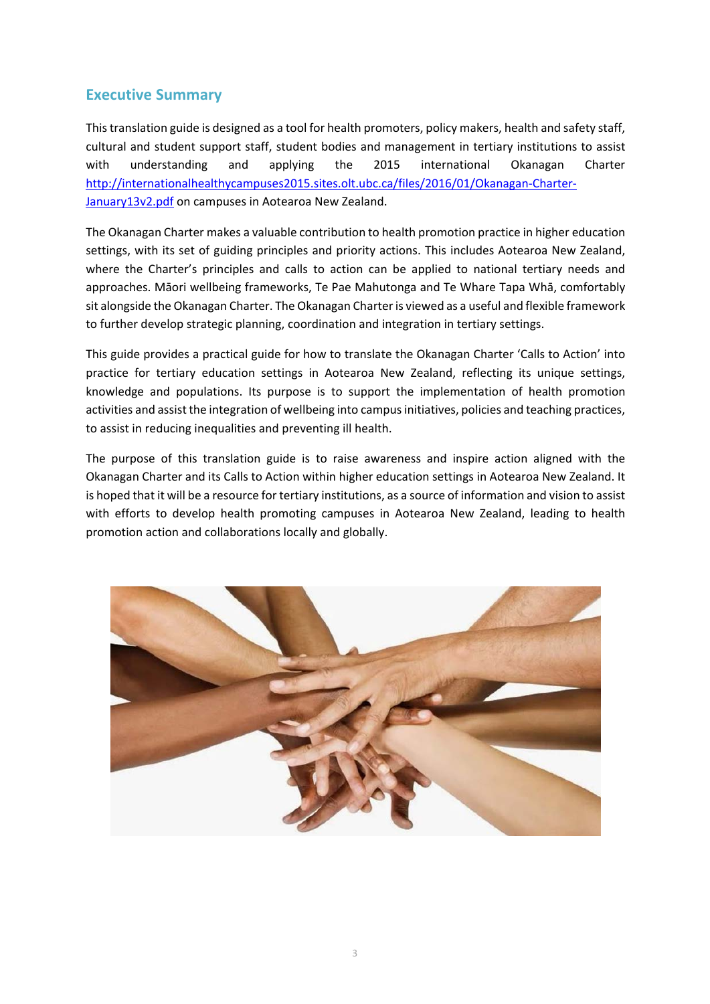# **Executive Summary**

This translation guide is designed as a tool for health promoters, policy makers, health and safety staff, cultural and student support staff, student bodies and management in tertiary institutions to assist with understanding and applying the 2015 international Okanagan Charter [http://internationalhealthycampuses2015.sites.olt.ubc.ca/files/2016/01/Okanagan-Charter-](http://internationalhealthycampuses2015.sites.olt.ubc.ca/files/2016/01/Okanagan-Charter-January13v2.pdf)[January13v2.pdf](http://internationalhealthycampuses2015.sites.olt.ubc.ca/files/2016/01/Okanagan-Charter-January13v2.pdf) on campuses in Aotearoa New Zealand.

The Okanagan Charter makes a valuable contribution to health promotion practice in higher education settings, with its set of guiding principles and priority actions. This includes Aotearoa New Zealand, where the Charter's principles and calls to action can be applied to national tertiary needs and approaches. Māori wellbeing frameworks, Te Pae Mahutonga and Te Whare Tapa Whā, comfortably sit alongside the Okanagan Charter. The Okanagan Charter is viewed as a useful and flexible framework to further develop strategic planning, coordination and integration in tertiary settings.

This guide provides a practical guide for how to translate the Okanagan Charter 'Calls to Action' into practice for tertiary education settings in Aotearoa New Zealand, reflecting its unique settings, knowledge and populations. Its purpose is to support the implementation of health promotion activities and assist the integration of wellbeing into campus initiatives, policies and teaching practices, to assist in reducing inequalities and preventing ill health.

The purpose of this translation guide is to raise awareness and inspire action aligned with the Okanagan Charter and its Calls to Action within higher education settings in Aotearoa New Zealand. It is hoped that it will be a resource for tertiary institutions, as a source of information and vision to assist with efforts to develop health promoting campuses in Aotearoa New Zealand, leading to health promotion action and collaborations locally and globally.

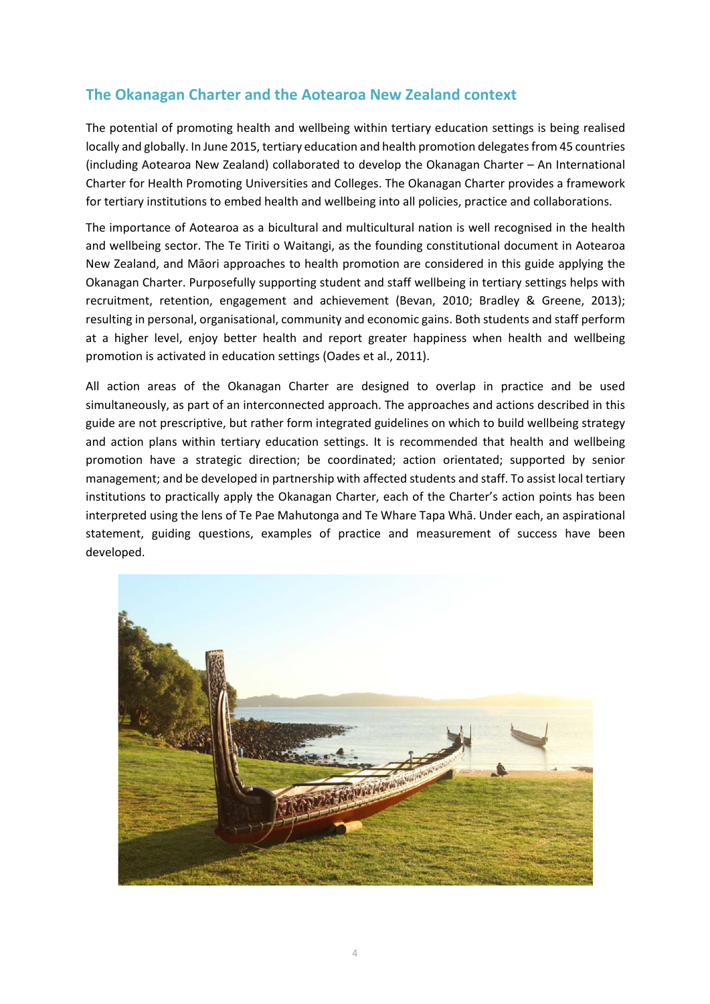# **The Okanagan Charter and the Aotearoa New Zealand context**

The potential of promoting health and wellbeing within tertiary education settings is being realised locally and globally. In June 2015, tertiary education and health promotion delegates from 45 countries (including Aotearoa New Zealand) collaborated to develop the Okanagan Charter – An International Charter for Health Promoting Universities and Colleges. The Okanagan Charter provides a framework for tertiary institutions to embed health and wellbeing into all policies, practice and collaborations.

The importance of Aotearoa as a bicultural and multicultural nation is well recognised in the health and wellbeing sector. The Te Tiriti o Waitangi, as the founding constitutional document in Aotearoa New Zealand, and Māori approaches to health promotion are considered in this guide applying the Okanagan Charter. Purposefully supporting student and staff wellbeing in tertiary settings helps with recruitment, retention, engagement and achievement (Bevan, 2010; Bradley & Greene, 2013); resulting in personal, organisational, community and economic gains. Both students and staff perform at a higher level, enjoy better health and report greater happiness when health and wellbeing promotion is activated in education settings (Oades et al., 2011).

All action areas of the Okanagan Charter are designed to overlap in practice and be used simultaneously, as part of an interconnected approach. The approaches and actions described in this guide are not prescriptive, but rather form integrated guidelines on which to build wellbeing strategy and action plans within tertiary education settings. It is recommended that health and wellbeing promotion have a strategic direction; be coordinated; action orientated; supported by senior management; and be developed in partnership with affected students and staff. To assist local tertiary institutions to practically apply the Okanagan Charter, each of the Charter's action points has been interpreted using the lens of Te Pae Mahutonga and Te Whare Tapa Whā. Under each, an aspirational statement, guiding questions, examples of practice and measurement of success have been developed.

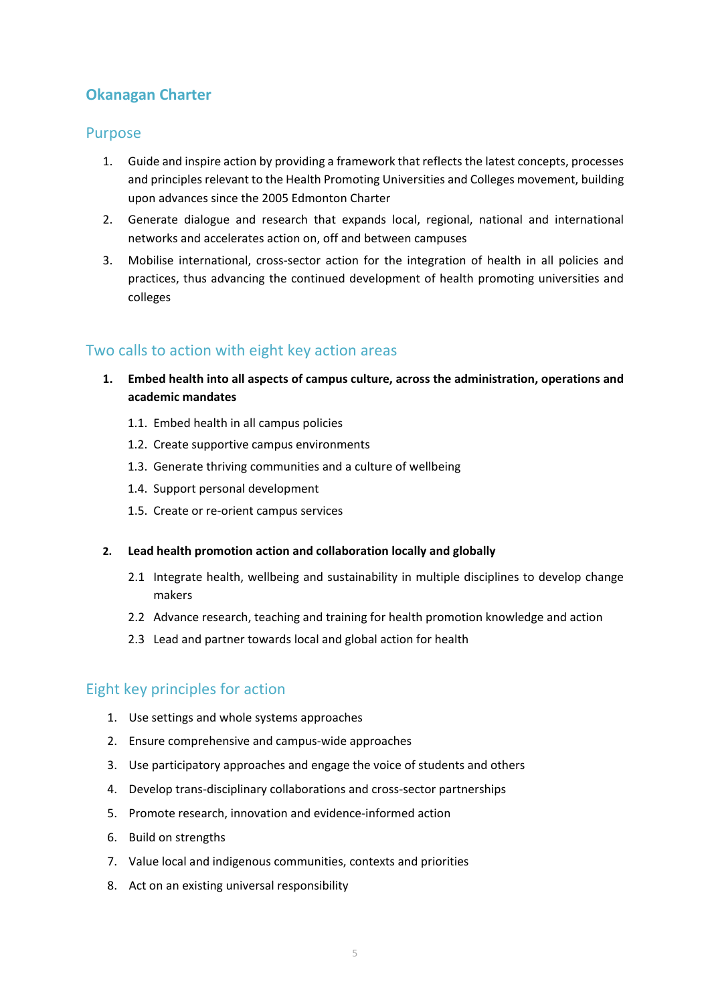# **Okanagan Charter**

# Purpose

- 1. Guide and inspire action by providing a framework that reflects the latest concepts, processes and principles relevant to the Health Promoting Universities and Colleges movement, building upon advances since the 2005 Edmonton Charter
- 2. Generate dialogue and research that expands local, regional, national and international networks and accelerates action on, off and between campuses
- 3. Mobilise international, cross-sector action for the integration of health in all policies and practices, thus advancing the continued development of health promoting universities and colleges

# Two calls to action with eight key action areas

- **1. Embed health into all aspects of campus culture, across the administration, operations and academic mandates**
	- 1.1. Embed health in all campus policies
	- 1.2. Create supportive campus environments
	- 1.3. Generate thriving communities and a culture of wellbeing
	- 1.4. Support personal development
	- 1.5. Create or re-orient campus services

#### **2. Lead health promotion action and collaboration locally and globally**

- 2.1 Integrate health, wellbeing and sustainability in multiple disciplines to develop change makers
- 2.2 Advance research, teaching and training for health promotion knowledge and action
- 2.3 Lead and partner towards local and global action for health

# Eight key principles for action

- 1. Use settings and whole systems approaches
- 2. Ensure comprehensive and campus-wide approaches
- 3. Use participatory approaches and engage the voice of students and others
- 4. Develop trans-disciplinary collaborations and cross-sector partnerships
- 5. Promote research, innovation and evidence-informed action
- 6. Build on strengths
- 7. Value local and indigenous communities, contexts and priorities
- 8. Act on an existing universal responsibility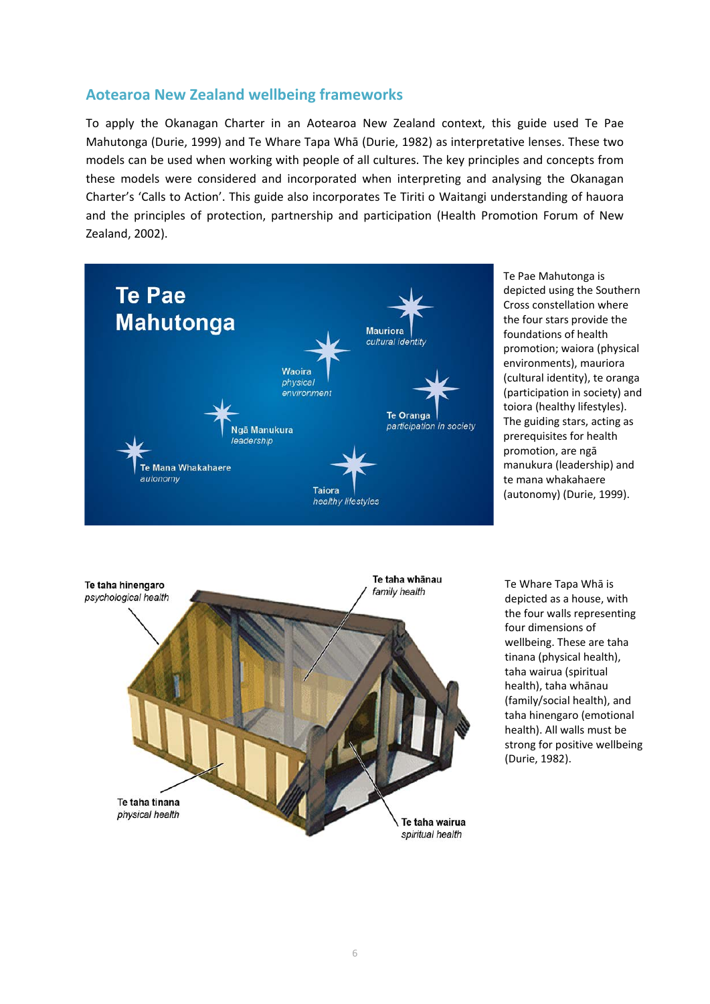# **Aotearoa New Zealand wellbeing frameworks**

To apply the Okanagan Charter in an Aotearoa New Zealand context, this guide used Te Pae Mahutonga (Durie, 1999) and Te Whare Tapa Whā (Durie, 1982) as interpretative lenses. These two models can be used when working with people of all cultures. The key principles and concepts from these models were considered and incorporated when interpreting and analysing the Okanagan Charter's 'Calls to Action'. This guide also incorporates Te Tiriti o Waitangi understanding of hauora and the principles of protection, partnership and participation (Health Promotion Forum of New Zealand, 2002).



Te Pae Mahutonga is depicted using the Southern Cross constellation where the four stars provide the foundations of health promotion; waiora (physical environments), mauriora (cultural identity), te oranga (participation in society) and toiora (healthy lifestyles). The guiding stars, acting as prerequisites for health promotion, are ngā manukura (leadership) and te mana whakahaere (autonomy) (Durie, 1999).



Te Whare Tapa Whā is depicted as a house, with the four walls representing four dimensions of wellbeing. These are taha tinana (physical health), taha wairua (spiritual health), taha whānau (family/social health), and taha hinengaro (emotional health). All walls must be strong for positive wellbeing (Durie, 1982).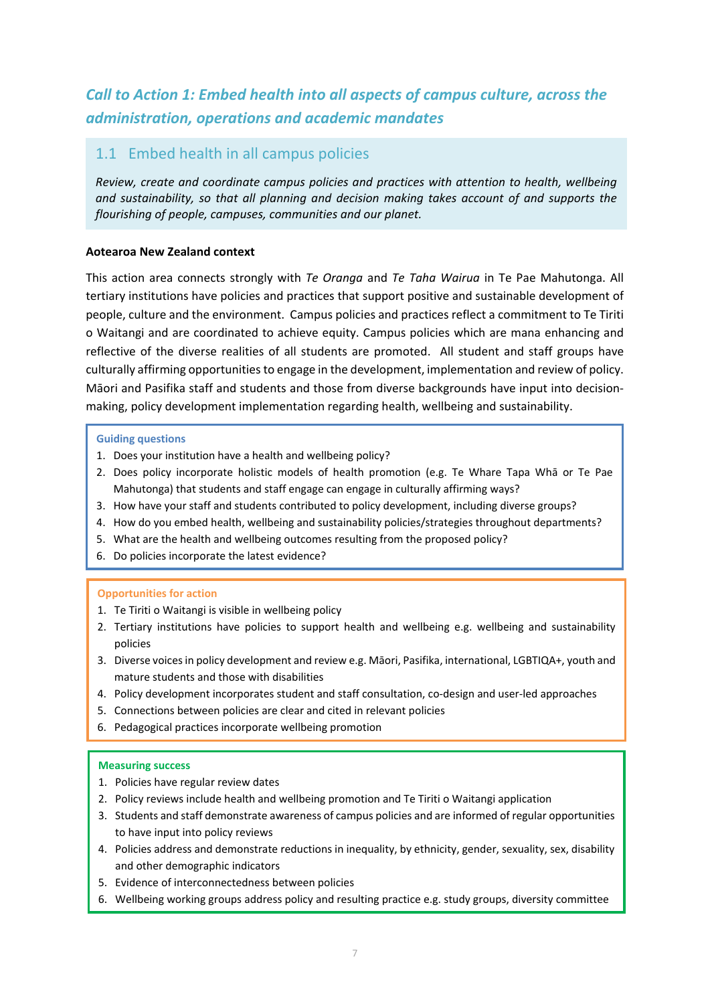# *Call to Action 1: Embed health into all aspects of campus culture, across the administration, operations and academic mandates*

# 1.1 Embed health in all campus policies

*Review, create and coordinate campus policies and practices with attention to health, wellbeing and sustainability, so that all planning and decision making takes account of and supports the flourishing of people, campuses, communities and our planet.*

#### **Aotearoa New Zealand context**

This action area connects strongly with *Te Oranga* and *Te Taha Wairua* in Te Pae Mahutonga. All tertiary institutions have policies and practices that support positive and sustainable development of people, culture and the environment. Campus policies and practices reflect a commitment to Te Tiriti o Waitangi and are coordinated to achieve equity. Campus policies which are mana enhancing and reflective of the diverse realities of all students are promoted. All student and staff groups have culturally affirming opportunities to engage in the development, implementation and review of policy. Māori and Pasifika staff and students and those from diverse backgrounds have input into decisionmaking, policy development implementation regarding health, wellbeing and sustainability.

#### **Guiding questions**

- 1. Does your institution have a health and wellbeing policy?
- 2. Does policy incorporate holistic models of health promotion (e.g. Te Whare Tapa Whā or Te Pae Mahutonga) that students and staff engage can engage in culturally affirming ways?
- 3. How have your staff and students contributed to policy development, including diverse groups?
- 4. How do you embed health, wellbeing and sustainability policies/strategies throughout departments?
- 5. What are the health and wellbeing outcomes resulting from the proposed policy?
- 6. Do policies incorporate the latest evidence?

#### **Opportunities for action**

- 1. Te Tiriti o Waitangi is visible in wellbeing policy
- 2. Tertiary institutions have policies to support health and wellbeing e.g. wellbeing and sustainability policies
- 3. Diverse voices in policy development and review e.g. Māori, Pasifika, international, LGBTIQA+, youth and mature students and those with disabilities
- 4. Policy development incorporates student and staff consultation, co-design and user-led approaches
- 5. Connections between policies are clear and cited in relevant policies
- 6. Pedagogical practices incorporate wellbeing promotion

- 1. Policies have regular review dates
- 2. Policy reviews include health and wellbeing promotion and Te Tiriti o Waitangi application
- 3. Students and staff demonstrate awareness of campus policies and are informed of regular opportunities to have input into policy reviews
- 4. Policies address and demonstrate reductions in inequality, by ethnicity, gender, sexuality, sex, disability and other demographic indicators
- 5. Evidence of interconnectedness between policies
- 6. Wellbeing working groups address policy and resulting practice e.g. study groups, diversity committee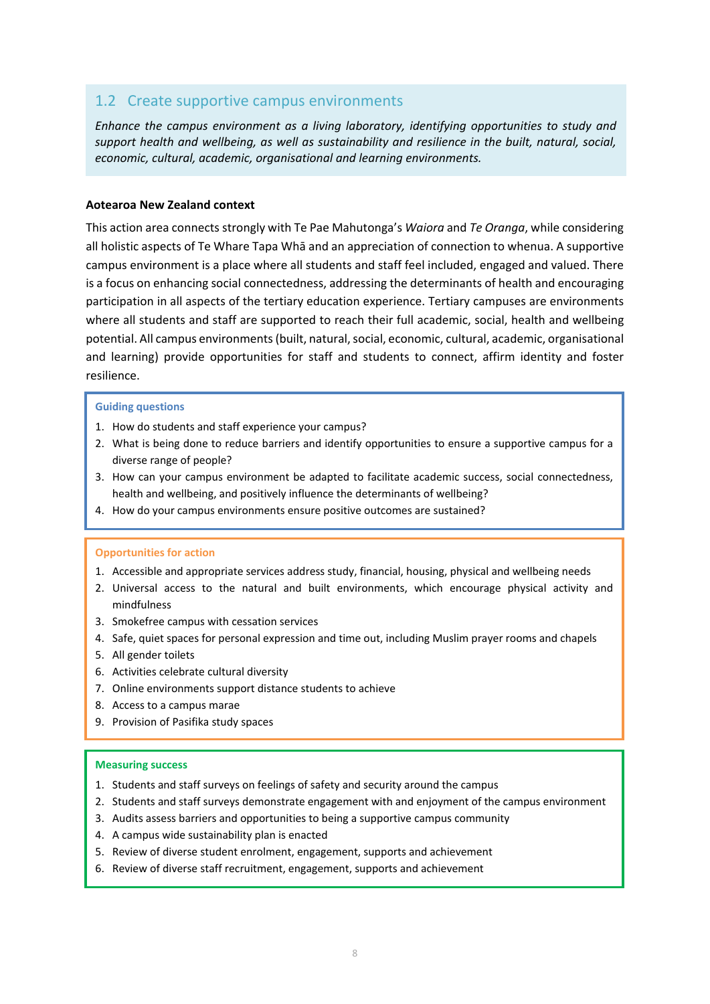# 1.2 Create supportive campus environments

*Enhance the campus environment as a living laboratory, identifying opportunities to study and support health and wellbeing, as well as sustainability and resilience in the built, natural, social, economic, cultural, academic, organisational and learning environments.*

#### **Aotearoa New Zealand context**

This action area connects strongly with Te Pae Mahutonga's *Waiora* and *Te Oranga*, while considering all holistic aspects of Te Whare Tapa Whā and an appreciation of connection to whenua. A supportive campus environment is a place where all students and staff feel included, engaged and valued. There is a focus on enhancing social connectedness, addressing the determinants of health and encouraging participation in all aspects of the tertiary education experience. Tertiary campuses are environments where all students and staff are supported to reach their full academic, social, health and wellbeing potential. All campus environments (built, natural, social, economic, cultural, academic, organisational and learning) provide opportunities for staff and students to connect, affirm identity and foster resilience.

#### **Guiding questions**

- 1. How do students and staff experience your campus?
- 2. What is being done to reduce barriers and identify opportunities to ensure a supportive campus for a diverse range of people?
- 3. How can your campus environment be adapted to facilitate academic success, social connectedness, health and wellbeing, and positively influence the determinants of wellbeing?
- 4. How do your campus environments ensure positive outcomes are sustained?

#### **Opportunities for action**

- 1. Accessible and appropriate services address study, financial, housing, physical and wellbeing needs
- 2. Universal access to the natural and built environments, which encourage physical activity and mindfulness
- 3. Smokefree campus with cessation services
- 4. Safe, quiet spaces for personal expression and time out, including Muslim prayer rooms and chapels
- 5. All gender toilets
- 6. Activities celebrate cultural diversity
- 7. Online environments support distance students to achieve
- 8. Access to a campus marae
- 9. Provision of Pasifika study spaces

- 1. Students and staff surveys on feelings of safety and security around the campus
- 2. Students and staff surveys demonstrate engagement with and enjoyment of the campus environment
- 3. Audits assess barriers and opportunities to being a supportive campus community
- 4. A campus wide sustainability plan is enacted
- 5. Review of diverse student enrolment, engagement, supports and achievement
- 6. Review of diverse staff recruitment, engagement, supports and achievement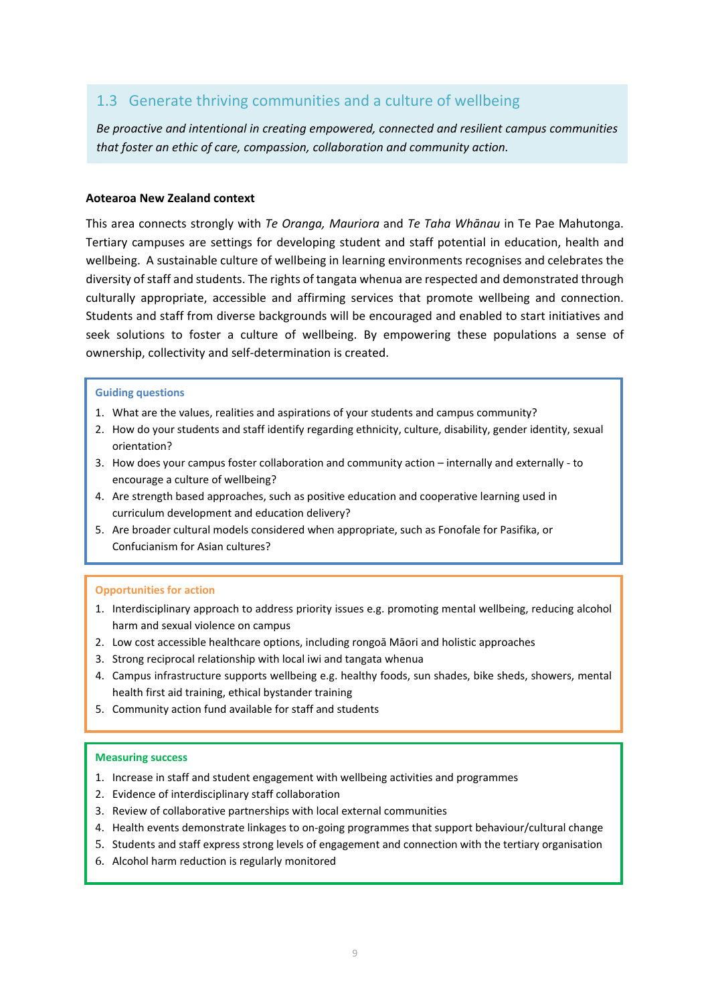# 1.3 Generate thriving communities and a culture of wellbeing

*Be proactive and intentional in creating empowered, connected and resilient campus communities that foster an ethic of care, compassion, collaboration and community action.*

#### **Aotearoa New Zealand context**

This area connects strongly with *Te Oranga, Mauriora* and *Te Taha Whānau* in Te Pae Mahutonga. Tertiary campuses are settings for developing student and staff potential in education, health and wellbeing. A sustainable culture of wellbeing in learning environments recognises and celebrates the diversity of staff and students. The rights of tangata whenua are respected and demonstrated through culturally appropriate, accessible and affirming services that promote wellbeing and connection. Students and staff from diverse backgrounds will be encouraged and enabled to start initiatives and seek solutions to foster a culture of wellbeing. By empowering these populations a sense of ownership, collectivity and self-determination is created.

#### **Guiding questions**

- 1. What are the values, realities and aspirations of your students and campus community?
- 2. How do your students and staff identify regarding ethnicity, culture, disability, gender identity, sexual orientation?
- 3. How does your campus foster collaboration and community action internally and externally to encourage a culture of wellbeing?
- 4. Are strength based approaches, such as positive education and cooperative learning used in curriculum development and education delivery?
- 5. Are broader cultural models considered when appropriate, such as Fonofale for Pasifika, or Confucianism for Asian cultures?

#### **Opportunities for action**

- 1. Interdisciplinary approach to address priority issues e.g. promoting mental wellbeing, reducing alcohol harm and sexual violence on campus
- 2. Low cost accessible healthcare options, including rongoā Māori and holistic approaches
- 3. Strong reciprocal relationship with local iwi and tangata whenua
- 4. Campus infrastructure supports wellbeing e.g. healthy foods, sun shades, bike sheds, showers, mental health first aid training, ethical bystander training
- 5. Community action fund available for staff and students

- 1. Increase in staff and student engagement with wellbeing activities and programmes
- 2. Evidence of interdisciplinary staff collaboration
- 3. Review of collaborative partnerships with local external communities
- 4. Health events demonstrate linkages to on-going programmes that support behaviour/cultural change
- 5. Students and staff express strong levels of engagement and connection with the tertiary organisation
- 6. Alcohol harm reduction is regularly monitored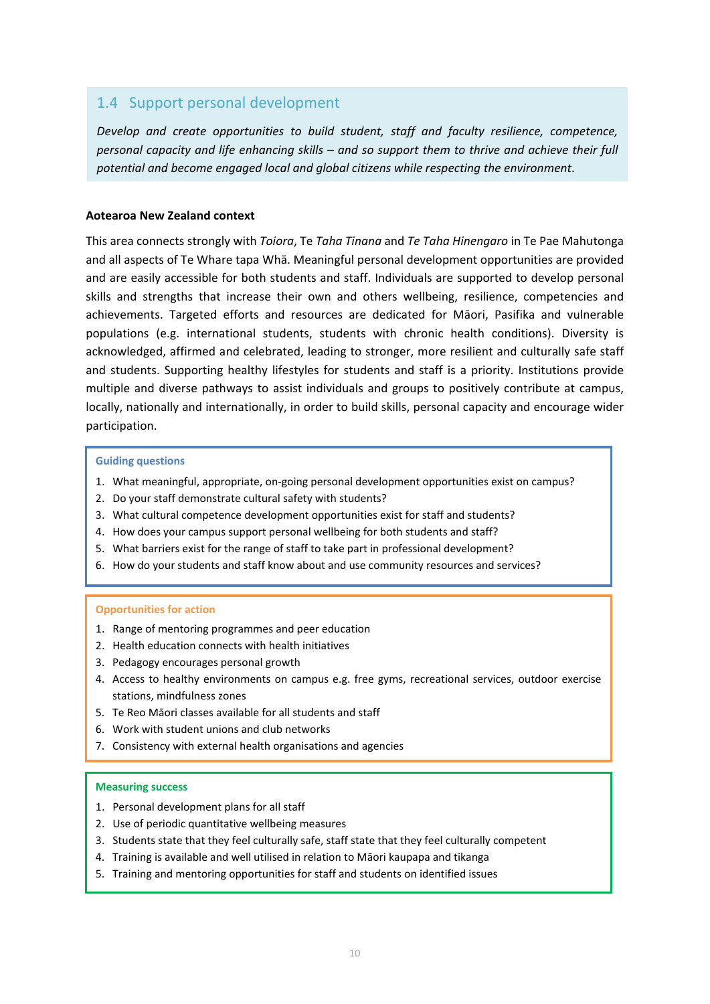# 1.4 Support personal development

*Develop and create opportunities to build student, staff and faculty resilience, competence, personal capacity and life enhancing skills – and so support them to thrive and achieve their full potential and become engaged local and global citizens while respecting the environment*.

#### **Aotearoa New Zealand context**

This area connects strongly with *Toiora*, Te *Taha Tinana* and *Te Taha Hinengaro* in Te Pae Mahutonga and all aspects of Te Whare tapa Whā. Meaningful personal development opportunities are provided and are easily accessible for both students and staff. Individuals are supported to develop personal skills and strengths that increase their own and others wellbeing, resilience, competencies and achievements. Targeted efforts and resources are dedicated for Māori, Pasifika and vulnerable populations (e.g. international students, students with chronic health conditions). Diversity is acknowledged, affirmed and celebrated, leading to stronger, more resilient and culturally safe staff and students. Supporting healthy lifestyles for students and staff is a priority. Institutions provide multiple and diverse pathways to assist individuals and groups to positively contribute at campus, locally, nationally and internationally, in order to build skills, personal capacity and encourage wider participation.

#### **Guiding questions**

- 1. What meaningful, appropriate, on-going personal development opportunities exist on campus?
- 2. Do your staff demonstrate cultural safety with students?
- 3. What cultural competence development opportunities exist for staff and students?
- 4. How does your campus support personal wellbeing for both students and staff?
- 5. What barriers exist for the range of staff to take part in professional development?
- 6. How do your students and staff know about and use community resources and services?

#### **Opportunities for action**

- 1. Range of mentoring programmes and peer education
- 2. Health education connects with health initiatives
- 3. Pedagogy encourages personal growth
- 4. Access to healthy environments on campus e.g. free gyms, recreational services, outdoor exercise stations, mindfulness zones
- 5. Te Reo Māori classes available for all students and staff
- 6. Work with student unions and club networks
- 7. Consistency with external health organisations and agencies

- 1. Personal development plans for all staff
- 2. Use of periodic quantitative wellbeing measures
- 3. Students state that they feel culturally safe, staff state that they feel culturally competent
- 4. Training is available and well utilised in relation to Māori kaupapa and tikanga
- 5. Training and mentoring opportunities for staff and students on identified issues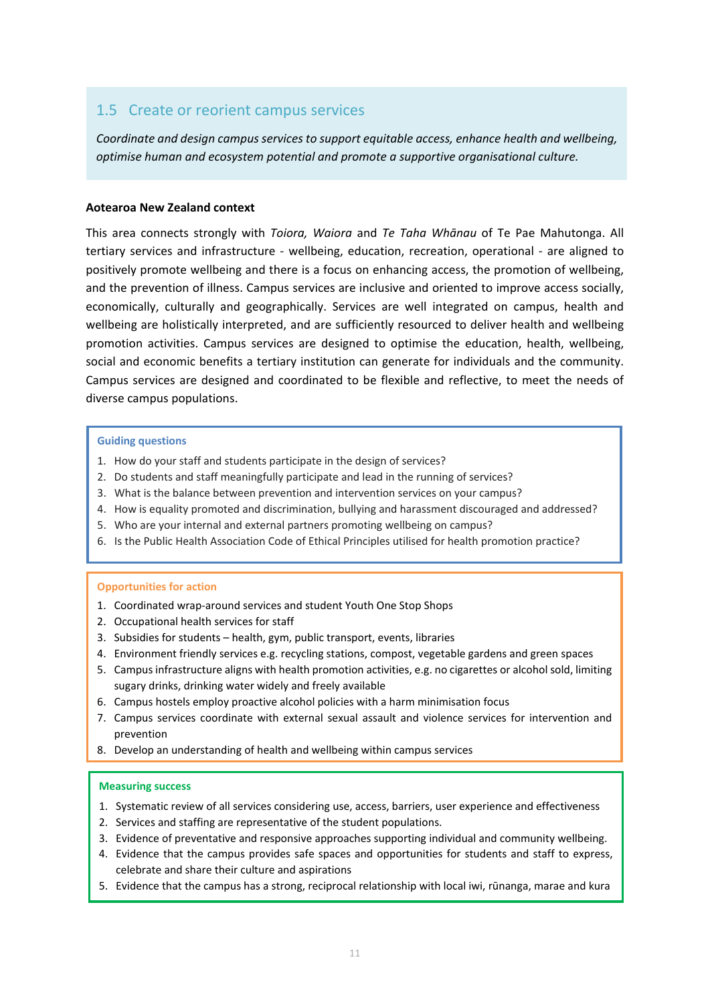### 1.5 Create or reorient campus services

*Coordinate and design campus services to support equitable access, enhance health and wellbeing, optimise human and ecosystem potential and promote a supportive organisational culture.*

#### **Aotearoa New Zealand context**

This area connects strongly with *Toiora, Waiora* and *Te Taha Whānau* of Te Pae Mahutonga. All tertiary services and infrastructure - wellbeing, education, recreation, operational - are aligned to positively promote wellbeing and there is a focus on enhancing access, the promotion of wellbeing, and the prevention of illness. Campus services are inclusive and oriented to improve access socially, economically, culturally and geographically. Services are well integrated on campus, health and wellbeing are holistically interpreted, and are sufficiently resourced to deliver health and wellbeing promotion activities. Campus services are designed to optimise the education, health, wellbeing, social and economic benefits a tertiary institution can generate for individuals and the community. Campus services are designed and coordinated to be flexible and reflective, to meet the needs of diverse campus populations.

#### **Guiding questions**

- 1. How do your staff and students participate in the design of services?
- 2. Do students and staff meaningfully participate and lead in the running of services?
- 3. What is the balance between prevention and intervention services on your campus?
- 4. How is equality promoted and discrimination, bullying and harassment discouraged and addressed?
- 5. Who are your internal and external partners promoting wellbeing on campus?
- 6. Is the Public Health Association Code of Ethical Principles utilised for health promotion practice?

#### **Opportunities for action**

- 1. Coordinated wrap-around services and student Youth One Stop Shops
- 2. Occupational health services for staff
- 3. Subsidies for students health, gym, public transport, events, libraries
- 4. Environment friendly services e.g. recycling stations, compost, vegetable gardens and green spaces
- 5. Campus infrastructure aligns with health promotion activities, e.g. no cigarettes or alcohol sold, limiting sugary drinks, drinking water widely and freely available
- 6. Campus hostels employ proactive alcohol policies with a harm minimisation focus
- 7. Campus services coordinate with external sexual assault and violence services for intervention and prevention
- 8. Develop an understanding of health and wellbeing within campus services

- 1. Systematic review of all services considering use, access, barriers, user experience and effectiveness
- 2. Services and staffing are representative of the student populations.
- 3. Evidence of preventative and responsive approaches supporting individual and community wellbeing.
- 4. Evidence that the campus provides safe spaces and opportunities for students and staff to express, celebrate and share their culture and aspirations
- 5. Evidence that the campus has a strong, reciprocal relationship with local iwi, rūnanga, marae and kura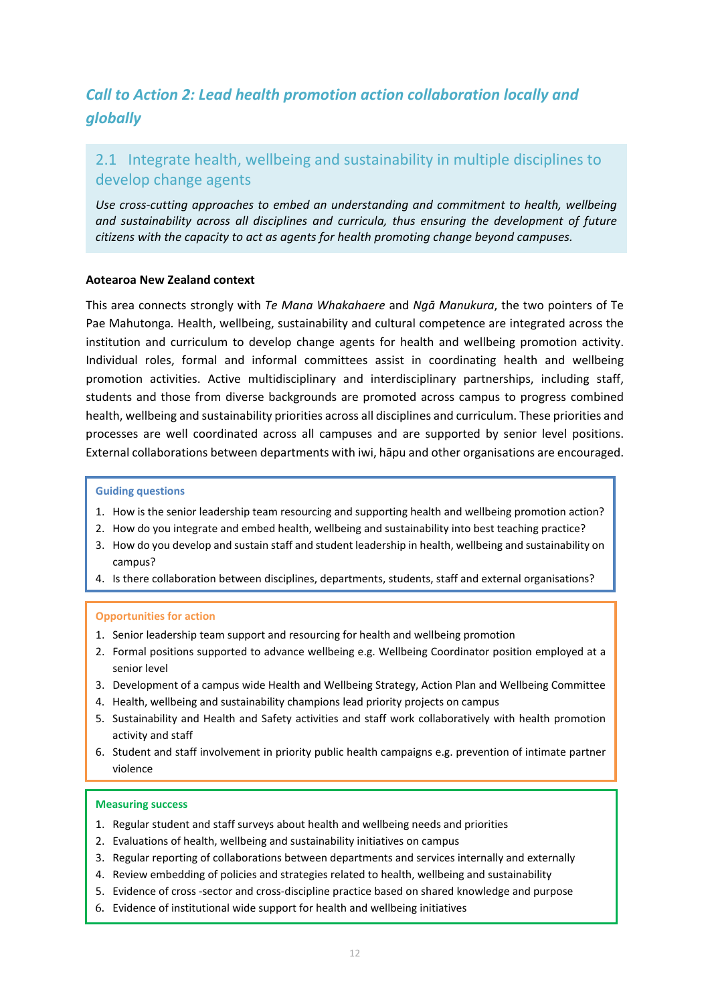# *Call to Action 2: Lead health promotion action collaboration locally and globally*

# 2.1 Integrate health, wellbeing and sustainability in multiple disciplines to develop change agents

*Use cross-cutting approaches to embed an understanding and commitment to health, wellbeing and sustainability across all disciplines and curricula, thus ensuring the development of future citizens with the capacity to act as agents for health promoting change beyond campuses.*

#### **Aotearoa New Zealand context**

This area connects strongly with *Te Mana Whakahaere* and *Ngā Manukura*, the two pointers of Te Pae Mahutonga*.* Health, wellbeing, sustainability and cultural competence are integrated across the institution and curriculum to develop change agents for health and wellbeing promotion activity. Individual roles, formal and informal committees assist in coordinating health and wellbeing promotion activities. Active multidisciplinary and interdisciplinary partnerships, including staff, students and those from diverse backgrounds are promoted across campus to progress combined health, wellbeing and sustainability priorities across all disciplines and curriculum. These priorities and processes are well coordinated across all campuses and are supported by senior level positions. External collaborations between departments with iwi, hāpu and other organisations are encouraged.

#### **Guiding questions**

- 1. How is the senior leadership team resourcing and supporting health and wellbeing promotion action?
- 2. How do you integrate and embed health, wellbeing and sustainability into best teaching practice?
- 3. How do you develop and sustain staff and student leadership in health, wellbeing and sustainability on campus?
- 4. Is there collaboration between disciplines, departments, students, staff and external organisations?

#### **Opportunities for action**

- 1. Senior leadership team support and resourcing for health and wellbeing promotion
- 2. Formal positions supported to advance wellbeing e.g. Wellbeing Coordinator position employed at a senior level
- 3. Development of a campus wide Health and Wellbeing Strategy, Action Plan and Wellbeing Committee
- 4. Health, wellbeing and sustainability champions lead priority projects on campus
- 5. Sustainability and Health and Safety activities and staff work collaboratively with health promotion activity and staff
- 6. Student and staff involvement in priority public health campaigns e.g. prevention of intimate partner violence

- 1. Regular student and staff surveys about health and wellbeing needs and priorities
- 2. Evaluations of health, wellbeing and sustainability initiatives on campus
- 3. Regular reporting of collaborations between departments and services internally and externally
- 4. Review embedding of policies and strategies related to health, wellbeing and sustainability
- 5. Evidence of cross -sector and cross-discipline practice based on shared knowledge and purpose
- 6. Evidence of institutional wide support for health and wellbeing initiatives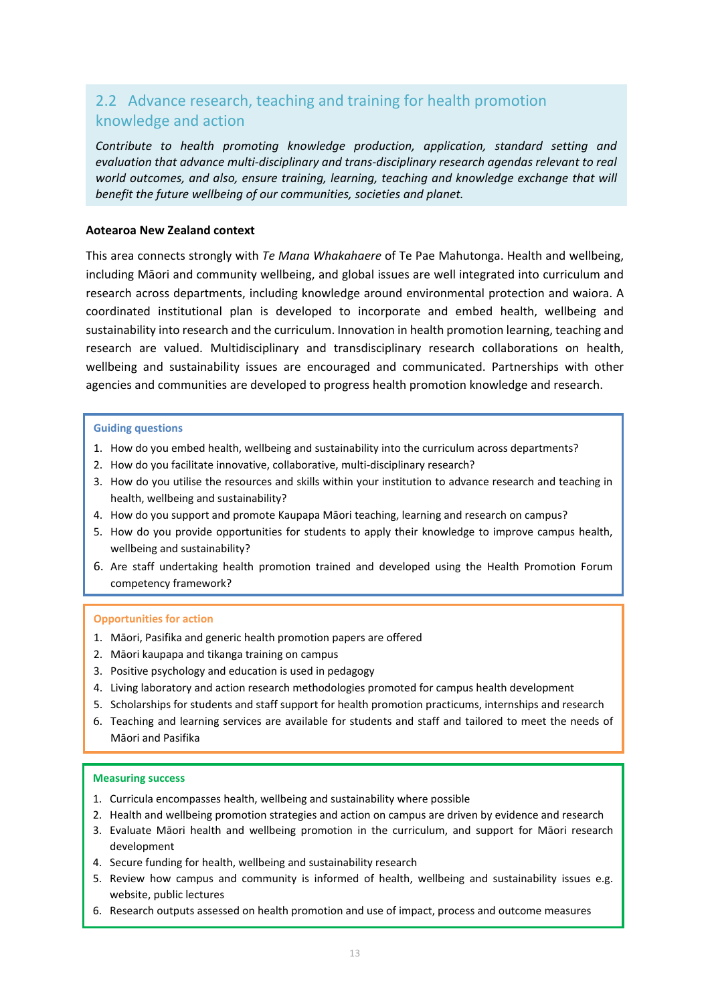# 2.2 Advance research, teaching and training for health promotion knowledge and action

*Contribute to health promoting knowledge production, application, standard setting and evaluation that advance multi-disciplinary and trans-disciplinary research agendas relevant to real world outcomes, and also, ensure training, learning, teaching and knowledge exchange that will benefit the future wellbeing of our communities, societies and planet.*

#### **Aotearoa New Zealand context**

This area connects strongly with *Te Mana Whakahaere* of Te Pae Mahutonga. Health and wellbeing, including Māori and community wellbeing, and global issues are well integrated into curriculum and research across departments, including knowledge around environmental protection and waiora. A coordinated institutional plan is developed to incorporate and embed health, wellbeing and sustainability into research and the curriculum. Innovation in health promotion learning, teaching and research are valued. Multidisciplinary and transdisciplinary research collaborations on health, wellbeing and sustainability issues are encouraged and communicated. Partnerships with other agencies and communities are developed to progress health promotion knowledge and research.

#### **Guiding questions**

- 1. How do you embed health, wellbeing and sustainability into the curriculum across departments?
- 2. How do you facilitate innovative, collaborative, multi-disciplinary research?
- 3. How do you utilise the resources and skills within your institution to advance research and teaching in health, wellbeing and sustainability?
- 4. How do you support and promote Kaupapa Māori teaching, learning and research on campus?
- 5. How do you provide opportunities for students to apply their knowledge to improve campus health, wellbeing and sustainability?
- 6. Are staff undertaking health promotion trained and developed using the Health Promotion Forum competency framework?

#### **Opportunities for action**

- 1. Māori, Pasifika and generic health promotion papers are offered
- 2. Māori kaupapa and tikanga training on campus
- 3. Positive psychology and education is used in pedagogy
- 4. Living laboratory and action research methodologies promoted for campus health development
- 5. Scholarships for students and staff support for health promotion practicums, internships and research
- 6. Teaching and learning services are available for students and staff and tailored to meet the needs of Māori and Pasifika

- 1. Curricula encompasses health, wellbeing and sustainability where possible
- 2. Health and wellbeing promotion strategies and action on campus are driven by evidence and research
- 3. Evaluate Māori health and wellbeing promotion in the curriculum, and support for Māori research development
- 4. Secure funding for health, wellbeing and sustainability research
- 5. Review how campus and community is informed of health, wellbeing and sustainability issues e.g. website, public lectures
- 6. Research outputs assessed on health promotion and use of impact, process and outcome measures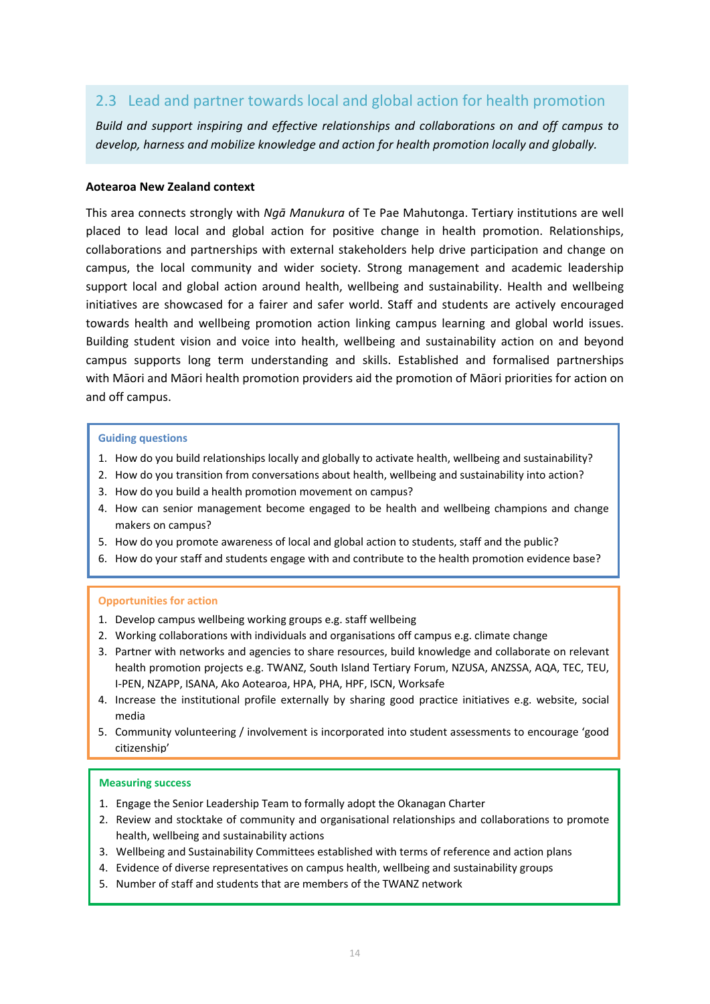# 2.3 Lead and partner towards local and global action for health promotion

*Build and support inspiring and effective relationships and collaborations on and off campus to develop, harness and mobilize knowledge and action for health promotion locally and globally.*

#### **Aotearoa New Zealand context**

This area connects strongly with *Ngā Manukura* of Te Pae Mahutonga. Tertiary institutions are well placed to lead local and global action for positive change in health promotion. Relationships, collaborations and partnerships with external stakeholders help drive participation and change on campus, the local community and wider society. Strong management and academic leadership support local and global action around health, wellbeing and sustainability. Health and wellbeing initiatives are showcased for a fairer and safer world. Staff and students are actively encouraged towards health and wellbeing promotion action linking campus learning and global world issues. Building student vision and voice into health, wellbeing and sustainability action on and beyond campus supports long term understanding and skills. Established and formalised partnerships with Māori and Māori health promotion providers aid the promotion of Māori priorities for action on and off campus.

#### **Guiding questions**

- 1. How do you build relationships locally and globally to activate health, wellbeing and sustainability?
- 2. How do you transition from conversations about health, wellbeing and sustainability into action?
- 3. How do you build a health promotion movement on campus?
- 4. How can senior management become engaged to be health and wellbeing champions and change makers on campus?
- 5. How do you promote awareness of local and global action to students, staff and the public?
- 6. How do your staff and students engage with and contribute to the health promotion evidence base?

#### **Opportunities for action**

- 1. Develop campus wellbeing working groups e.g. staff wellbeing
- 2. Working collaborations with individuals and organisations off campus e.g. climate change
- 3. Partner with networks and agencies to share resources, build knowledge and collaborate on relevant health promotion projects e.g. TWANZ, South Island Tertiary Forum, NZUSA, ANZSSA, AQA, TEC, TEU, I-PEN, NZAPP, ISANA, Ako Aotearoa, HPA, PHA, HPF, ISCN, Worksafe
- 4. Increase the institutional profile externally by sharing good practice initiatives e.g. website, social media
- 5. Community volunteering / involvement is incorporated into student assessments to encourage 'good citizenship'

- 1. Engage the Senior Leadership Team to formally adopt the Okanagan Charter
- 2. Review and stocktake of community and organisational relationships and collaborations to promote health, wellbeing and sustainability actions
- 3. Wellbeing and Sustainability Committees established with terms of reference and action plans
- 4. Evidence of diverse representatives on campus health, wellbeing and sustainability groups
- 5. Number of staff and students that are members of the TWANZ network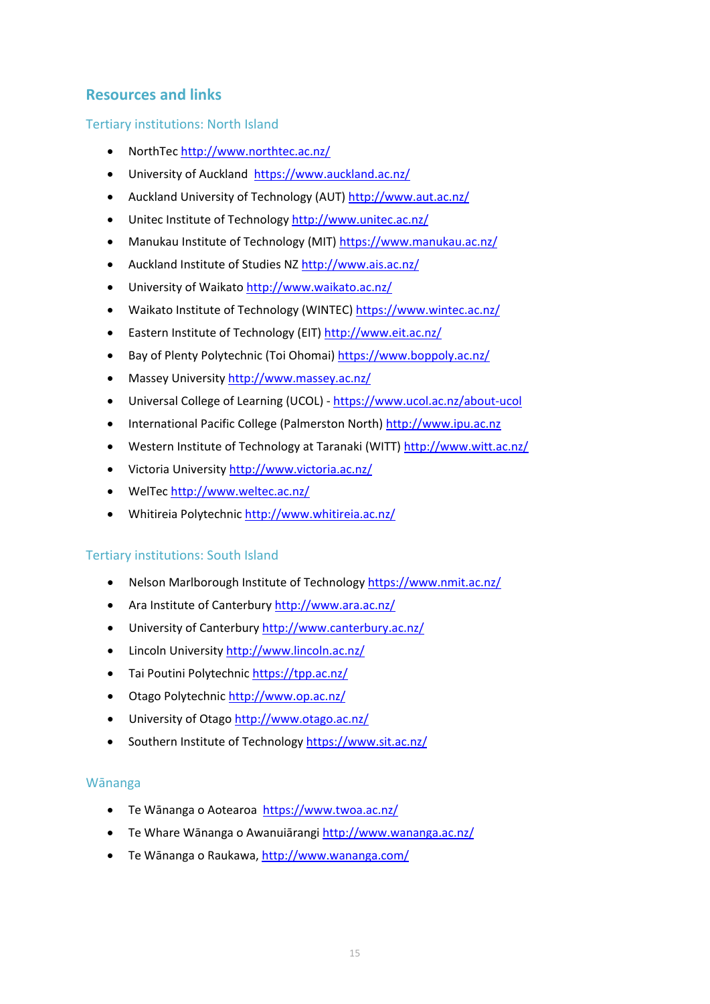# **Resources and links**

### Tertiary institutions: North Island

- NorthTec<http://www.northtec.ac.nz/>
- University of Auckland <https://www.auckland.ac.nz/>
- Auckland University of Technology (AUT)<http://www.aut.ac.nz/>
- Unitec Institute of Technology<http://www.unitec.ac.nz/>
- Manukau Institute of Technology (MIT)<https://www.manukau.ac.nz/>
- Auckland Institute of Studies NZ<http://www.ais.ac.nz/>
- University of Waikato<http://www.waikato.ac.nz/>
- Waikato Institute of Technology (WINTEC[\) https://www.wintec.ac.nz/](https://www.wintec.ac.nz/)
- Eastern Institute of Technology (EIT)<http://www.eit.ac.nz/>
- Bay of Plenty Polytechnic (Toi Ohomai)<https://www.boppoly.ac.nz/>
- Massey University<http://www.massey.ac.nz/>
- Universal College of Learning (UCOL) <https://www.ucol.ac.nz/about-ucol>
- International Pacific College (Palmerston North) [http://www.ipu.ac.nz](http://www.ipu.ac.nz/)
- Western Institute of Technology at Taranaki (WITT)<http://www.witt.ac.nz/>
- Victoria University<http://www.victoria.ac.nz/>
- WelTec<http://www.weltec.ac.nz/>
- Whitireia Polytechni[c http://www.whitireia.ac.nz/](http://www.whitireia.ac.nz/)

## Tertiary institutions: South Island

- Nelson Marlborough Institute of Technolog[y https://www.nmit.ac.nz/](https://www.nmit.ac.nz/)
- Ara Institute of Canterbur[y http://www.ara.ac.nz/](http://www.ara.ac.nz/)
- University of Canterbury<http://www.canterbury.ac.nz/>
- Lincoln University<http://www.lincoln.ac.nz/>
- Tai Poutini Polytechnic<https://tpp.ac.nz/>
- Otago Polytechni[c http://www.op.ac.nz/](http://www.op.ac.nz/)
- University of Otago<http://www.otago.ac.nz/>
- Southern Institute of Technology<https://www.sit.ac.nz/>

### Wānanga

- Te Wānanga o Aotearoa <https://www.twoa.ac.nz/>
- Te Whare Wānanga o Awanuiārangi <http://www.wananga.ac.nz/>
- Te Wānanga o Raukawa, <http://www.wananga.com/>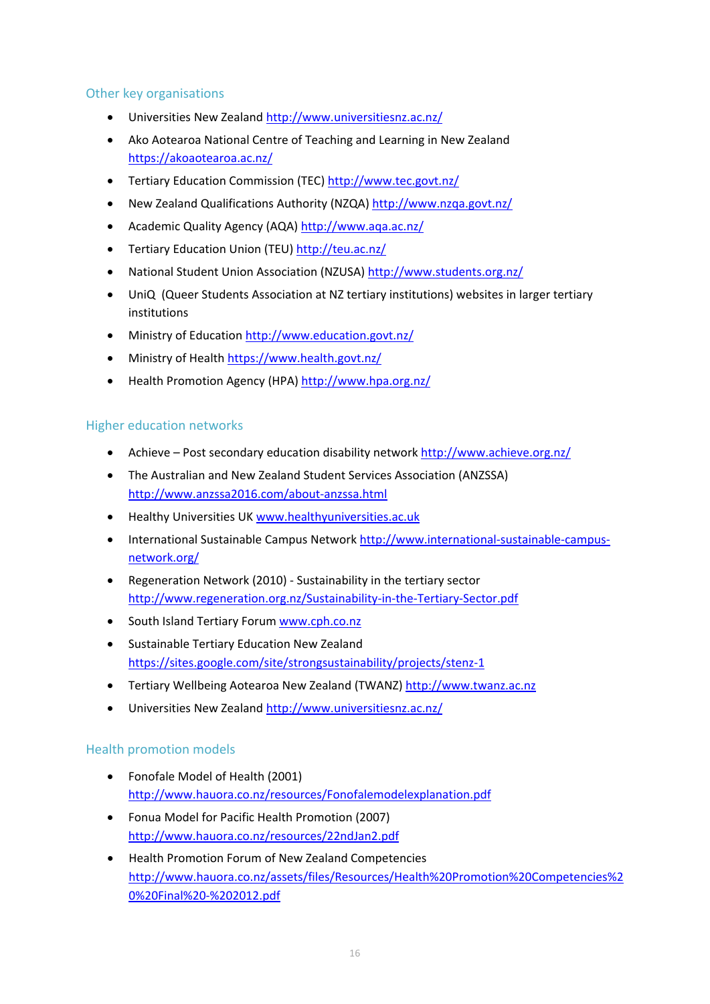### Other key organisations

- Universities New Zealand<http://www.universitiesnz.ac.nz/>
- Ako Aotearoa National Centre of Teaching and Learning in New Zealand <https://akoaotearoa.ac.nz/>
- Tertiary Education Commission (TEC) <http://www.tec.govt.nz/>
- New Zealand Qualifications Authority (NZQA)<http://www.nzqa.govt.nz/>
- Academic Quality Agency (AQA)<http://www.aqa.ac.nz/>
- Tertiary Education Union (TEU[\) http://teu.ac.nz/](http://teu.ac.nz/)
- National Student Union Association (NZUSA[\) http://www.students.org.nz/](http://www.students.org.nz/)
- UniQ (Queer Students Association at NZ tertiary institutions) websites in larger tertiary institutions
- Ministry of Education<http://www.education.govt.nz/>
- Ministry of Health<https://www.health.govt.nz/>
- Health Promotion Agency (HPA)<http://www.hpa.org.nz/>

### Higher education networks

- Achieve Post secondary education disability network<http://www.achieve.org.nz/>
- The Australian and New Zealand Student Services Association (ANZSSA) <http://www.anzssa2016.com/about-anzssa.html>
- Healthy Universities UK [www.healthyuniversities.ac.uk](http://www.healthyuniversities.ac.uk/)
- International Sustainable Campus Network [http://www.international-sustainable-campus](http://www.international-sustainable-campus-network.org/)[network.org/](http://www.international-sustainable-campus-network.org/)
- Regeneration Network (2010) Sustainability in the tertiary sector <http://www.regeneration.org.nz/Sustainability-in-the-Tertiary-Sector.pdf>
- South Island Tertiary Forum [www.cph.co.nz](http://www.cph.co.nz/)
- Sustainable Tertiary Education New Zealand <https://sites.google.com/site/strongsustainability/projects/stenz-1>
- Tertiary Wellbeing Aotearoa New Zealand (TWANZ) [http://www.twanz.ac.nz](http://www.twanz.ac.nz/)
- Universities New Zealand<http://www.universitiesnz.ac.nz/>

### Health promotion models

- Fonofale Model of Health (2001) <http://www.hauora.co.nz/resources/Fonofalemodelexplanation.pdf>
- Fonua Model for Pacific Health Promotion (2007) <http://www.hauora.co.nz/resources/22ndJan2.pdf>
- Health Promotion Forum of New Zealand Competencies [http://www.hauora.co.nz/assets/files/Resources/Health%20Promotion%20Competencies%2](http://www.hauora.co.nz/assets/files/Resources/Health%20Promotion%20Competencies%20%20Final%20-%202012.pdf) [0%20Final%20-%202012.pdf](http://www.hauora.co.nz/assets/files/Resources/Health%20Promotion%20Competencies%20%20Final%20-%202012.pdf)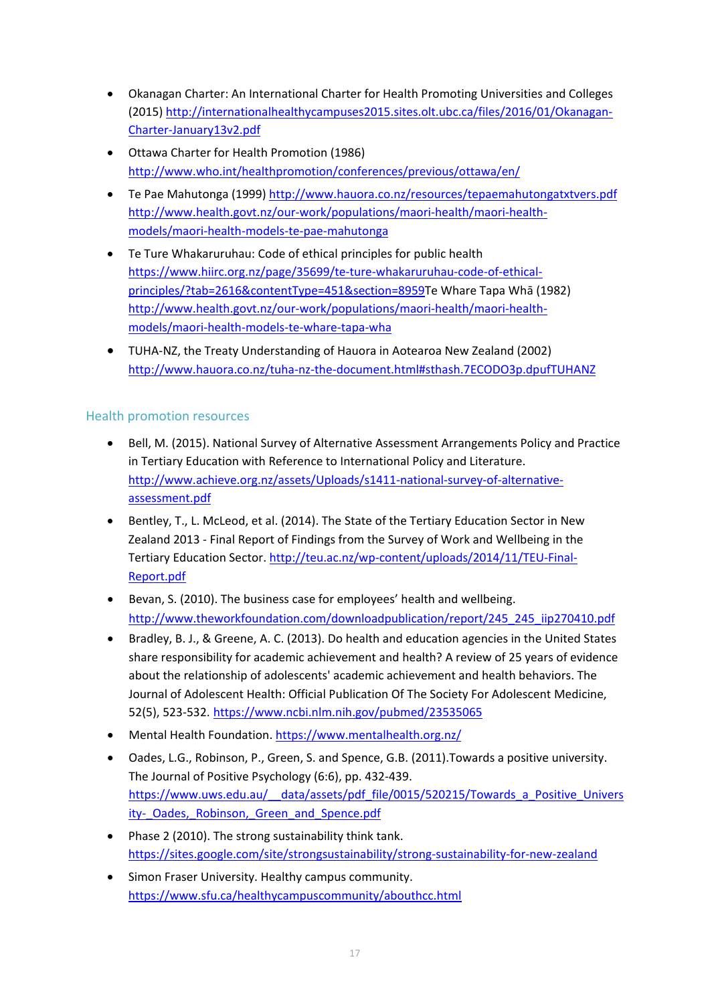- Okanagan Charter: An International Charter for Health Promoting Universities and Colleges (2015) [http://internationalhealthycampuses2015.sites.olt.ubc.ca/files/2016/01/Okanagan-](http://internationalhealthycampuses2015.sites.olt.ubc.ca/files/2016/01/Okanagan-Charter-January13v2.pdf)[Charter-January13v2.pdf](http://internationalhealthycampuses2015.sites.olt.ubc.ca/files/2016/01/Okanagan-Charter-January13v2.pdf)
- Ottawa Charter for Health Promotion (1986) <http://www.who.int/healthpromotion/conferences/previous/ottawa/en/>
- Te Pae Mahutonga (1999)<http://www.hauora.co.nz/resources/tepaemahutongatxtvers.pdf> [http://www.health.govt.nz/our-work/populations/maori-health/maori-health](http://www.health.govt.nz/our-work/populations/maori-health/maori-health-models/maori-health-models-te-pae-mahutonga)[models/maori-health-models-te-pae-mahutonga](http://www.health.govt.nz/our-work/populations/maori-health/maori-health-models/maori-health-models-te-pae-mahutonga)
- Te Ture Whakaruruhau: Code of ethical principles for public health [https://www.hiirc.org.nz/page/35699/te-ture-whakaruruhau-code-of-ethical](https://www.hiirc.org.nz/page/35699/te-ture-whakaruruhau-code-of-ethical-principles/?tab=2616&contentType=451§ion=8959)[principles/?tab=2616&contentType=451&section=8959](https://www.hiirc.org.nz/page/35699/te-ture-whakaruruhau-code-of-ethical-principles/?tab=2616&contentType=451§ion=8959)Te Whare Tapa Whā (1982) [http://www.health.govt.nz/our-work/populations/maori-health/maori-health](http://www.health.govt.nz/our-work/populations/maori-health/maori-health-models/maori-health-models-te-whare-tapa-wha)[models/maori-health-models-te-whare-tapa-wha](http://www.health.govt.nz/our-work/populations/maori-health/maori-health-models/maori-health-models-te-whare-tapa-wha)
- TUHA-NZ, the Treaty Understanding of Hauora in Aotearoa New Zealand (2002) <http://www.hauora.co.nz/tuha-nz-the-document.html#sthash.7ECODO3p.dpufTUHANZ>

### Health promotion resources

- Bell, M. (2015). National Survey of Alternative Assessment Arrangements Policy and Practice in Tertiary Education with Reference to International Policy and Literature. [http://www.achieve.org.nz/assets/Uploads/s1411-national-survey-of-alternative](http://www.achieve.org.nz/assets/Uploads/s1411-national-survey-of-alternative-assessment.pdf)[assessment.pdf](http://www.achieve.org.nz/assets/Uploads/s1411-national-survey-of-alternative-assessment.pdf)
- Bentley, T., L. McLeod, et al. (2014). The State of the Tertiary Education Sector in New Zealand 2013 - Final Report of Findings from the Survey of Work and Wellbeing in the Tertiary Education Sector. [http://teu.ac.nz/wp-content/uploads/2014/11/TEU-Final-](http://teu.ac.nz/wp-content/uploads/2014/11/TEU-Final-Report.pdf)[Report.pdf](http://teu.ac.nz/wp-content/uploads/2014/11/TEU-Final-Report.pdf)
- Bevan, S. (2010). The business case for employees' health and wellbeing. [http://www.theworkfoundation.com/downloadpublication/report/245\\_245\\_iip270410.pdf](http://www.theworkfoundation.com/downloadpublication/report/245_245_iip270410.pdf)
- Bradley, B. J., & Greene, A. C. (2013). Do health and education agencies in the United States share responsibility for academic achievement and health? A review of 25 years of evidence about the relationship of adolescents' academic achievement and health behaviors. The Journal of Adolescent Health: Official Publication Of The Society For Adolescent Medicine, 52(5), 523-532. <https://www.ncbi.nlm.nih.gov/pubmed/23535065>
- Mental Health Foundation.<https://www.mentalhealth.org.nz/>
- Oades, L.G., Robinson, P., Green, S. and Spence, G.B. (2011).Towards a positive university. The Journal of Positive Psychology (6:6), pp. 432-439. [https://www.uws.edu.au/\\_\\_data/assets/pdf\\_file/0015/520215/Towards\\_a\\_Positive\\_Univers](https://www.uws.edu.au/__data/assets/pdf_file/0015/520215/Towards_a_Positive_University-_Oades,_Robinson,_Green_and_Spence.pdf) ity- Oades, Robinson, Green and Spence.pdf
- Phase 2 (2010). The strong sustainability think tank. <https://sites.google.com/site/strongsustainability/strong-sustainability-for-new-zealand>
- Simon Fraser University. Healthy campus community. <https://www.sfu.ca/healthycampuscommunity/abouthcc.html>